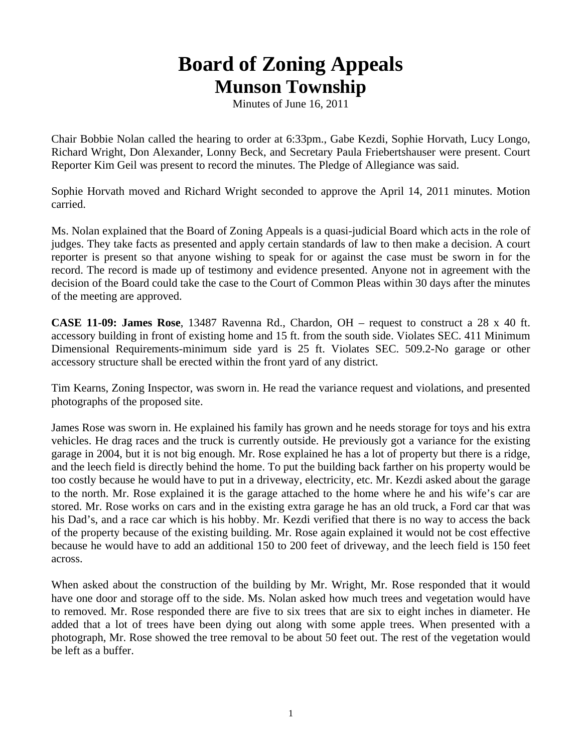## **Board of Zoning Appeals Munson Township**

Minutes of June 16, 2011

Chair Bobbie Nolan called the hearing to order at 6:33pm., Gabe Kezdi, Sophie Horvath, Lucy Longo, Richard Wright, Don Alexander, Lonny Beck, and Secretary Paula Friebertshauser were present. Court Reporter Kim Geil was present to record the minutes. The Pledge of Allegiance was said.

Sophie Horvath moved and Richard Wright seconded to approve the April 14, 2011 minutes. Motion carried.

Ms. Nolan explained that the Board of Zoning Appeals is a quasi-judicial Board which acts in the role of judges. They take facts as presented and apply certain standards of law to then make a decision. A court reporter is present so that anyone wishing to speak for or against the case must be sworn in for the record. The record is made up of testimony and evidence presented. Anyone not in agreement with the decision of the Board could take the case to the Court of Common Pleas within 30 days after the minutes of the meeting are approved.

**CASE 11-09: James Rose**, 13487 Ravenna Rd., Chardon, OH – request to construct a 28 x 40 ft. accessory building in front of existing home and 15 ft. from the south side. Violates SEC. 411 Minimum Dimensional Requirements-minimum side yard is 25 ft. Violates SEC. 509.2-No garage or other accessory structure shall be erected within the front yard of any district.

Tim Kearns, Zoning Inspector, was sworn in. He read the variance request and violations, and presented photographs of the proposed site.

James Rose was sworn in. He explained his family has grown and he needs storage for toys and his extra vehicles. He drag races and the truck is currently outside. He previously got a variance for the existing garage in 2004, but it is not big enough. Mr. Rose explained he has a lot of property but there is a ridge, and the leech field is directly behind the home. To put the building back farther on his property would be too costly because he would have to put in a driveway, electricity, etc. Mr. Kezdi asked about the garage to the north. Mr. Rose explained it is the garage attached to the home where he and his wife's car are stored. Mr. Rose works on cars and in the existing extra garage he has an old truck, a Ford car that was his Dad's, and a race car which is his hobby. Mr. Kezdi verified that there is no way to access the back of the property because of the existing building. Mr. Rose again explained it would not be cost effective because he would have to add an additional 150 to 200 feet of driveway, and the leech field is 150 feet across.

When asked about the construction of the building by Mr. Wright, Mr. Rose responded that it would have one door and storage off to the side. Ms. Nolan asked how much trees and vegetation would have to removed. Mr. Rose responded there are five to six trees that are six to eight inches in diameter. He added that a lot of trees have been dying out along with some apple trees. When presented with a photograph, Mr. Rose showed the tree removal to be about 50 feet out. The rest of the vegetation would be left as a buffer.